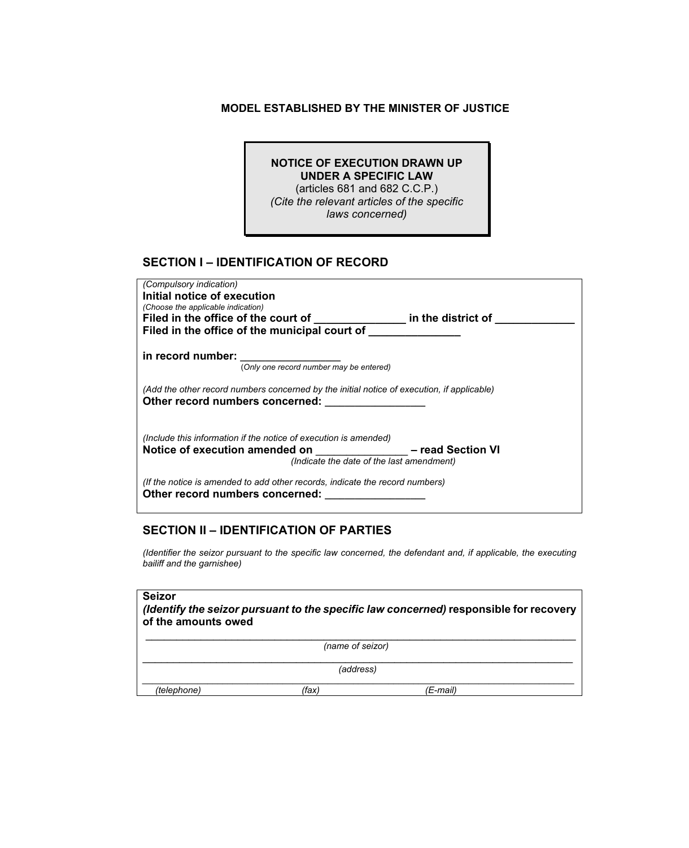#### **MODEL ESTABLISHED BY THE MINISTER OF JUSTICE**

#### **NOTICE OF EXECUTION DRAWN UP UNDER A SPECIFIC LAW**  (articles 681 and 682 C.C.P.)

*(Cite the relevant articles of the specific laws concerned)* 

## **SECTION I – IDENTIFICATION OF RECORD**

| (Compulsory indication)                                                                    |
|--------------------------------------------------------------------------------------------|
| Initial notice of execution                                                                |
| (Choose the applicable indication)                                                         |
| Filed in the office of the court of<br>in the district of                                  |
| Filed in the office of the municipal court of                                              |
|                                                                                            |
| in record number:                                                                          |
| (Only one record number may be entered)                                                    |
|                                                                                            |
| (Add the other record numbers concerned by the initial notice of execution, if applicable) |
| Other record numbers concerned:                                                            |
|                                                                                            |
|                                                                                            |
| (Include this information if the notice of execution is amended)                           |
| - read Section VI<br>Notice of execution amended on                                        |
| (Indicate the date of the last amendment)                                                  |
|                                                                                            |
| (If the notice is amended to add other records, indicate the record numbers)               |
| Other record numbers concerned:                                                            |

# **SECTION II – IDENTIFICATION OF PARTIES**

*(Identifier the seizor pursuant to the specific law concerned, the defendant and, if applicable, the executing bailiff and the garnishee)* 

| <b>Seizor</b><br>(Identify the seizor pursuant to the specific law concerned) responsible for recovery<br>of the amounts owed |       |          |  |  |  |
|-------------------------------------------------------------------------------------------------------------------------------|-------|----------|--|--|--|
| (name of seizor)                                                                                                              |       |          |  |  |  |
| (address)                                                                                                                     |       |          |  |  |  |
| (telephone)                                                                                                                   | (fax) | (E-mail) |  |  |  |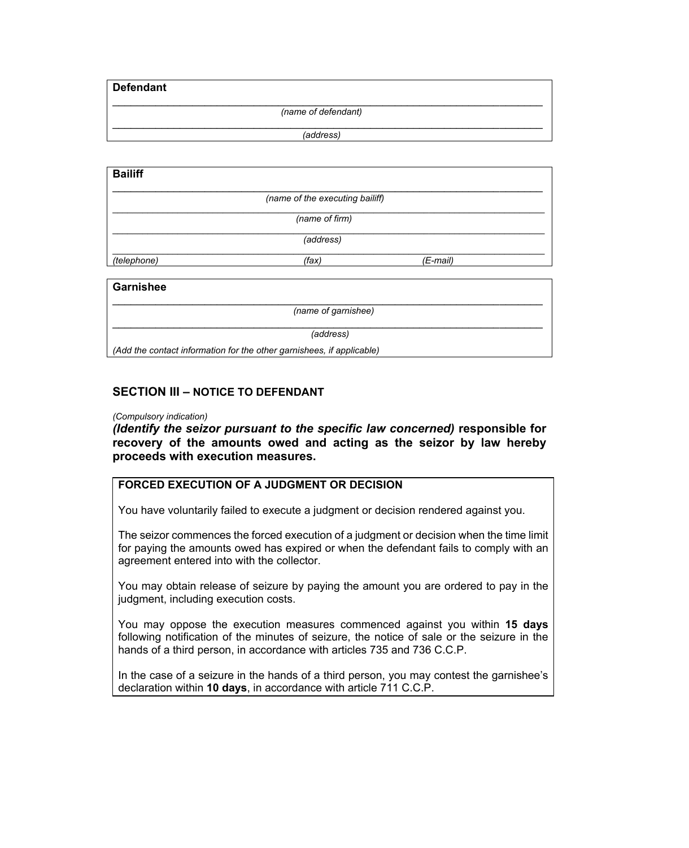**Defendant** 

\_\_\_\_\_\_\_\_\_\_\_\_\_\_\_\_\_\_\_\_\_\_\_\_\_\_\_\_\_\_\_\_\_\_\_\_\_\_\_\_\_\_\_\_\_\_\_\_\_\_\_\_\_\_\_\_\_\_\_\_\_\_\_\_\_\_\_\_\_\_ *(name of defendant)* 

\_\_\_\_\_\_\_\_\_\_\_\_\_\_\_\_\_\_\_\_\_\_\_\_\_\_\_\_\_\_\_\_\_\_\_\_\_\_\_\_\_\_\_\_\_\_\_\_\_\_\_\_\_\_\_\_\_\_\_\_\_\_\_\_\_\_\_\_\_\_ *(address)* 

| <b>Bailiff</b> |                                 |          |  |
|----------------|---------------------------------|----------|--|
|                | (name of the executing bailiff) |          |  |
|                | (name of firm)                  |          |  |
|                | (address)                       |          |  |
| (telephone)    | (fax)                           | (E-mail) |  |
| Garnishee      |                                 |          |  |

## \_\_\_\_\_\_\_\_\_\_\_\_\_\_\_\_\_\_\_\_\_\_\_\_\_\_\_\_\_\_\_\_\_\_\_\_\_\_\_\_\_\_\_\_\_\_\_\_\_\_\_\_\_\_\_\_\_\_\_\_\_\_\_\_\_\_\_\_\_\_ *(name of garnishee)*  \_\_\_\_\_\_\_\_\_\_\_\_\_\_\_\_\_\_\_\_\_\_\_\_\_\_\_\_\_\_\_\_\_\_\_\_\_\_\_\_\_\_\_\_\_\_\_\_\_\_\_\_\_\_\_\_\_\_\_\_\_\_\_\_\_\_\_\_\_\_ *(address) (Add the contact information for the other garnishees, if applicable)*

#### **SECTION III – NOTICE TO DEFENDANT**

#### *(Compulsory indication)*

*(Identify the seizor pursuant to the specific law concerned)* **responsible for recovery of the amounts owed and acting as the seizor by law hereby proceeds with execution measures.** 

## **FORCED EXECUTION OF A JUDGMENT OR DECISION**

You have voluntarily failed to execute a judgment or decision rendered against you.

The seizor commences the forced execution of a judgment or decision when the time limit for paying the amounts owed has expired or when the defendant fails to comply with an agreement entered into with the collector.

You may obtain release of seizure by paying the amount you are ordered to pay in the judgment, including execution costs.

You may oppose the execution measures commenced against you within **15 days**  following notification of the minutes of seizure, the notice of sale or the seizure in the hands of a third person, in accordance with articles 735 and 736 C.C.P.

In the case of a seizure in the hands of a third person, you may contest the garnishee's declaration within **10 days**, in accordance with article 711 C.C.P.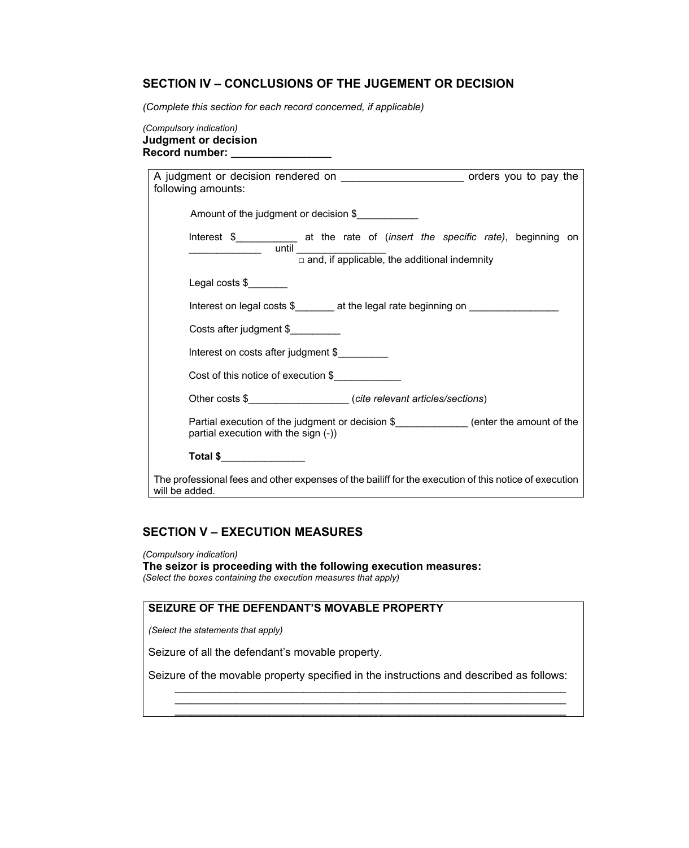#### **SECTION IV – CONCLUSIONS OF THE JUGEMENT OR DECISION**

*(Complete this section for each record concerned, if applicable)*

*(Compulsory indication)*  **Judgment or decision Record number: \_\_\_\_\_\_\_\_\_\_\_\_\_\_\_\_\_\_\_\_**

| A judgment or decision rendered on _________________________ orders you to pay the<br>following amounts:                                                                                                                                                                                                                                                                                                                                                                                                 |  |  |  |
|----------------------------------------------------------------------------------------------------------------------------------------------------------------------------------------------------------------------------------------------------------------------------------------------------------------------------------------------------------------------------------------------------------------------------------------------------------------------------------------------------------|--|--|--|
| Amount of the judgment or decision \$                                                                                                                                                                                                                                                                                                                                                                                                                                                                    |  |  |  |
| Interest \$_____________ at the rate of (insert the specific rate), beginning on<br>$\frac{1}{\sqrt{1-\frac{1}{2}}\sqrt{1-\frac{1}{2}}\sqrt{1-\frac{1}{2}}\sqrt{1-\frac{1}{2}}\sqrt{1-\frac{1}{2}}\sqrt{1-\frac{1}{2}}\sqrt{1-\frac{1}{2}}\sqrt{1-\frac{1}{2}}\sqrt{1-\frac{1}{2}}\sqrt{1-\frac{1}{2}}\sqrt{1-\frac{1}{2}}\sqrt{1-\frac{1}{2}}\sqrt{1-\frac{1}{2}}\sqrt{1-\frac{1}{2}}\sqrt{1-\frac{1}{2}}\sqrt{1-\frac{1}{2}}\sqrt{1-\frac{1}{2}}\sqrt{1-\frac{1}{2}}\sqrt{1-\frac{1}{2}}\sqrt{1-\frac$ |  |  |  |
| Legal costs \$                                                                                                                                                                                                                                                                                                                                                                                                                                                                                           |  |  |  |
| Interest on legal costs \$_______ at the legal rate beginning on ________________                                                                                                                                                                                                                                                                                                                                                                                                                        |  |  |  |
| Costs after judgment \$                                                                                                                                                                                                                                                                                                                                                                                                                                                                                  |  |  |  |
| Interest on costs after judgment \$                                                                                                                                                                                                                                                                                                                                                                                                                                                                      |  |  |  |
| Cost of this notice of execution \$                                                                                                                                                                                                                                                                                                                                                                                                                                                                      |  |  |  |
| Other costs \$ (cite relevant articles/sections)                                                                                                                                                                                                                                                                                                                                                                                                                                                         |  |  |  |
| Partial execution of the judgment or decision \$_____________(enter the amount of the<br>partial execution with the sign (-))                                                                                                                                                                                                                                                                                                                                                                            |  |  |  |
| Total \$________________                                                                                                                                                                                                                                                                                                                                                                                                                                                                                 |  |  |  |
| The professional fees and other expenses of the bailiff for the execution of this notice of execution<br>will be added.                                                                                                                                                                                                                                                                                                                                                                                  |  |  |  |

#### **SECTION V – EXECUTION MEASURES**

*(Compulsory indication)*  **The seizor is proceeding with the following execution measures:** *(Select the boxes containing the execution measures that apply)*

## **SEIZURE OF THE DEFENDANT'S MOVABLE PROPERTY**

*(Select the statements that apply)*

Seizure of all the defendant's movable property.

Seizure of the movable property specified in the instructions and described as follows:

*\_\_\_\_\_\_\_\_\_\_\_\_\_\_\_\_\_\_\_\_\_\_\_\_\_\_\_\_\_\_\_\_\_\_\_\_\_\_\_\_\_\_\_\_\_\_\_\_\_\_\_\_\_\_\_\_\_\_\_\_\_\_\_\_\_\_\_\_\_\_ \_\_\_\_\_\_\_\_\_\_\_\_\_\_\_\_\_\_\_\_\_\_\_\_\_\_\_\_\_\_\_\_\_\_\_\_\_\_\_\_\_\_\_\_\_\_\_\_\_\_\_\_\_\_\_\_\_\_\_\_\_\_\_\_\_\_\_\_\_\_ \_\_\_\_\_\_\_\_\_\_\_\_\_\_\_\_\_\_\_\_\_\_\_\_\_\_\_\_\_\_\_\_\_\_\_\_\_\_\_\_\_\_\_\_\_\_\_\_\_\_\_\_\_\_\_\_\_\_\_\_\_\_\_\_\_\_\_\_\_\_*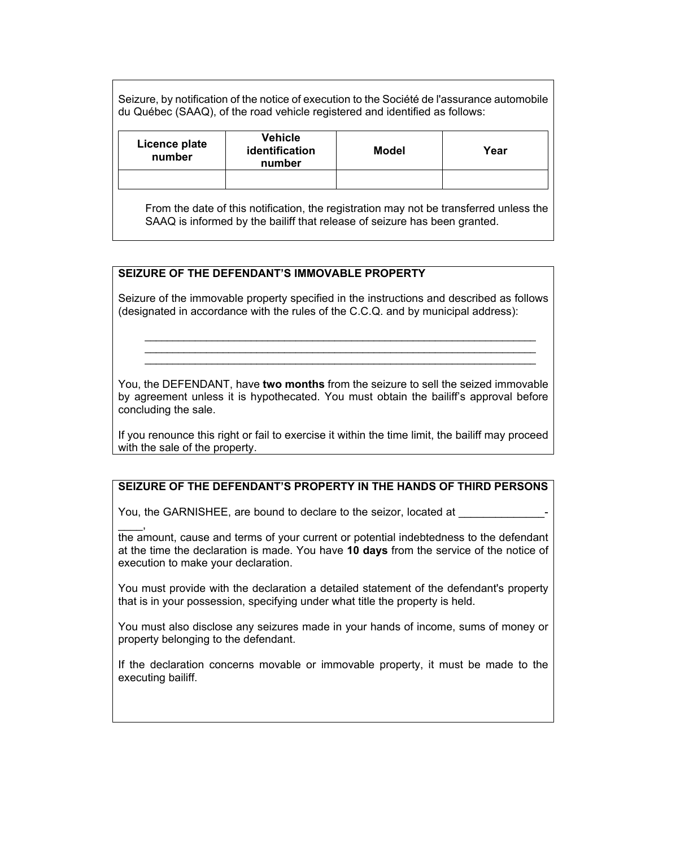Seizure, by notification of the notice of execution to the Société de l'assurance automobile du Québec (SAAQ), of the road vehicle registered and identified as follows:

| Licence plate<br>number | <b>Vehicle</b><br>identification<br>number | <b>Model</b> | Year |
|-------------------------|--------------------------------------------|--------------|------|
|                         |                                            |              |      |

From the date of this notification, the registration may not be transferred unless the SAAQ is informed by the bailiff that release of seizure has been granted.

#### **SEIZURE OF THE DEFENDANT'S IMMOVABLE PROPERTY**

Seizure of the immovable property specified in the instructions and described as follows (designated in accordance with the rules of the C.C.Q. and by municipal address):

*\_\_\_\_\_\_\_\_\_\_\_\_\_\_\_\_\_\_\_\_\_\_\_\_\_\_\_\_\_\_\_\_\_\_\_\_\_\_\_\_\_\_\_\_\_\_\_\_\_\_\_\_\_\_\_\_\_\_\_\_\_\_\_\_\_\_\_\_\_\_ \_\_\_\_\_\_\_\_\_\_\_\_\_\_\_\_\_\_\_\_\_\_\_\_\_\_\_\_\_\_\_\_\_\_\_\_\_\_\_\_\_\_\_\_\_\_\_\_\_\_\_\_\_\_\_\_\_\_\_\_\_\_\_\_\_\_\_\_\_\_ \_\_\_\_\_\_\_\_\_\_\_\_\_\_\_\_\_\_\_\_\_\_\_\_\_\_\_\_\_\_\_\_\_\_\_\_\_\_\_\_\_\_\_\_\_\_\_\_\_\_\_\_\_\_\_\_\_\_\_\_\_\_\_\_\_\_\_\_\_\_* 

You, the DEFENDANT, have **two months** from the seizure to sell the seized immovable by agreement unless it is hypothecated. You must obtain the bailiff's approval before concluding the sale.

If you renounce this right or fail to exercise it within the time limit, the bailiff may proceed with the sale of the property.

## **SEIZURE OF THE DEFENDANT'S PROPERTY IN THE HANDS OF THIRD PERSONS**

You, the GARNISHEE, are bound to declare to the seizor, located at

 $\overline{\phantom{a}}$ the amount, cause and terms of your current or potential indebtedness to the defendant at the time the declaration is made. You have **10 days** from the service of the notice of execution to make your declaration.

You must provide with the declaration a detailed statement of the defendant's property that is in your possession, specifying under what title the property is held.

You must also disclose any seizures made in your hands of income, sums of money or property belonging to the defendant.

If the declaration concerns movable or immovable property, it must be made to the executing bailiff.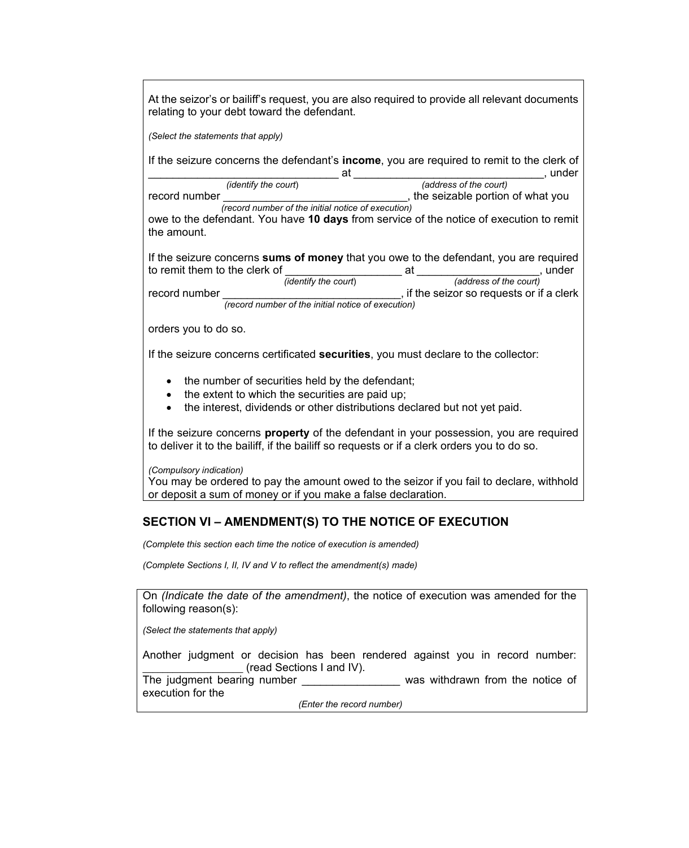At the seizor's or bailiff's request, you are also required to provide all relevant documents relating to your debt toward the defendant.

*(Select the statements that apply)* 

If the seizure concerns the defendant's **income**, you are required to remit to the clerk of \_\_\_\_\_\_\_\_\_\_\_\_\_\_\_\_\_\_\_\_\_\_\_\_\_\_\_\_\_\_\_ at \_\_\_\_\_\_\_\_\_\_\_\_\_\_\_\_\_\_\_\_\_\_\_\_\_\_\_\_\_\_\_, under

 *(identify the court*) *(address of the court)* record number **the seizable portion of what you** the seizable portion of what you *(record number of the initial notice of execution)* 

owe to the defendant. You have **10 days** from service of the notice of execution to remit the amount.

If the seizure concerns **sums of money** that you owe to the defendant, you are required to remit them to the clerk of  $\frac{1}{\text{(identity the count)}}$  at  $\frac{1}{\text{(address of the count)}}$ , under  $(address of the court)$ record number **record number**  $\qquad \qquad$  if the seizor so requests or if a clerk

 *(record number of the initial notice of execution)*

orders you to do so.

If the seizure concerns certificated **securities**, you must declare to the collector:

- the number of securities held by the defendant;
- the extent to which the securities are paid up;
- the interest, dividends or other distributions declared but not yet paid.

If the seizure concerns **property** of the defendant in your possession, you are required to deliver it to the bailiff, if the bailiff so requests or if a clerk orders you to do so.

*(Compulsory indication)* 

You may be ordered to pay the amount owed to the seizor if you fail to declare, withhold or deposit a sum of money or if you make a false declaration.

# **SECTION VI – AMENDMENT(S) TO THE NOTICE OF EXECUTION**

*(Complete this section each time the notice of execution is amended)* 

*(Complete Sections I, II, IV and V to reflect the amendment(s) made)* 

On *(Indicate the date of the amendment)*, the notice of execution was amended for the following reason(s):

*(Select the statements that apply)* 

Another judgment or decision has been rendered against you in record number: \_\_\_\_\_\_\_\_\_\_\_\_\_\_\_\_\_\_\_\_ (read Sections I and IV).

The judgment bearing number \_\_\_\_\_\_\_\_\_\_\_\_\_\_\_\_\_\_\_ was withdrawn from the notice of execution for the

*(Enter the record number)*